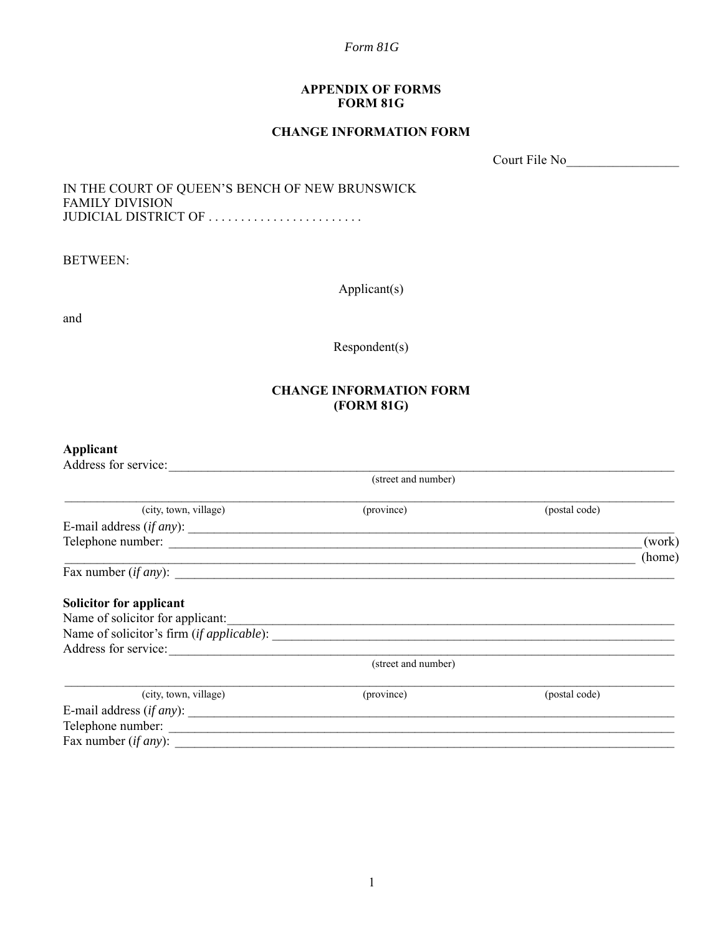#### **APPENDIX OF FORMS FORM 81G**

## **CHANGE INFORMATION FORM**

Court File No\_\_\_\_\_\_\_\_\_\_\_\_\_\_\_\_\_

### IN THE COURT OF QUEEN'S BENCH OF NEW BRUNSWICK FAMILY DIVISION JUDICIAL DISTRICT OF .........................

BETWEEN:

Applicant(s)

and

Respondent(s)

## **CHANGE INFORMATION FORM (FORM 81G)**

# **Applicant**

| Address for service:             |                     |               |                  |
|----------------------------------|---------------------|---------------|------------------|
|                                  | (street and number) |               |                  |
| (city, town, village)            | (province)          | (postal code) |                  |
| E-mail address (if any):         |                     |               |                  |
|                                  |                     |               | (work)<br>(home) |
| Fax number $(if any)$ :          |                     |               |                  |
| <b>Solicitor for applicant</b>   |                     |               |                  |
| Name of solicitor for applicant: |                     |               |                  |
|                                  |                     |               |                  |
| Address for service:             |                     |               |                  |
|                                  | (street and number) |               |                  |
| (city, town, village)            | (province)          | (postal code) |                  |
| E-mail address $(if any)$ :      |                     |               |                  |
| Telephone number:                |                     |               |                  |
| Fax number $(if any)$ :          |                     |               |                  |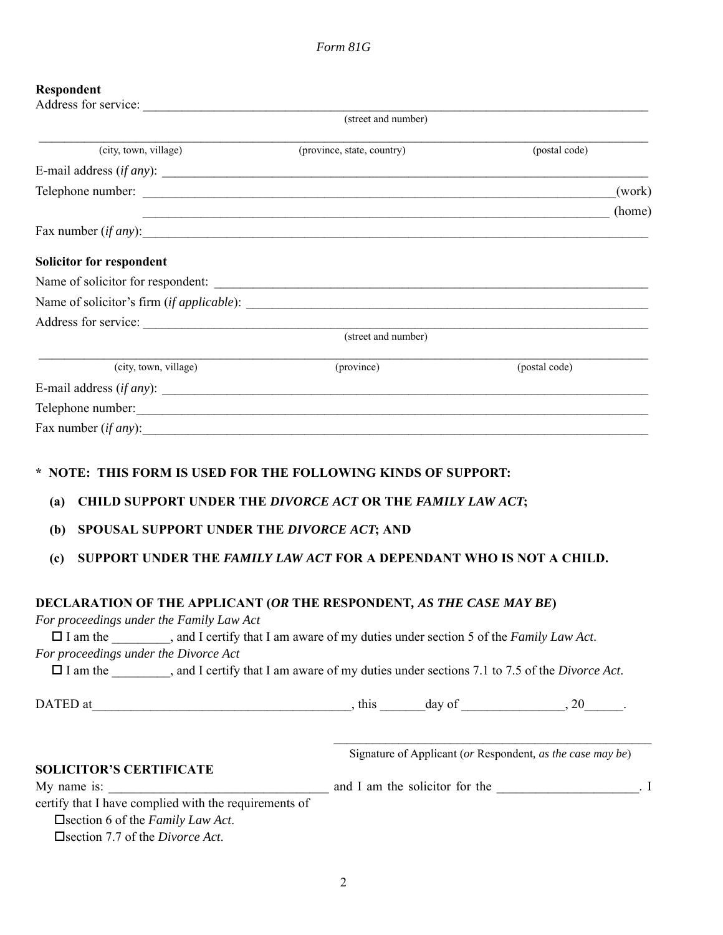# **Respondent**

| respondent                                                                                                                                                                                                                                                                                                                                                                            |                                |                                                            |
|---------------------------------------------------------------------------------------------------------------------------------------------------------------------------------------------------------------------------------------------------------------------------------------------------------------------------------------------------------------------------------------|--------------------------------|------------------------------------------------------------|
|                                                                                                                                                                                                                                                                                                                                                                                       | (street and number)            |                                                            |
| (city, town, village)                                                                                                                                                                                                                                                                                                                                                                 | (province, state, country)     | (postal code)                                              |
| E-mail address $(if any)$ :                                                                                                                                                                                                                                                                                                                                                           |                                |                                                            |
|                                                                                                                                                                                                                                                                                                                                                                                       |                                |                                                            |
|                                                                                                                                                                                                                                                                                                                                                                                       | $(home)$                       |                                                            |
| Fax number $(if any)$ :                                                                                                                                                                                                                                                                                                                                                               |                                |                                                            |
| <b>Solicitor for respondent</b>                                                                                                                                                                                                                                                                                                                                                       |                                |                                                            |
|                                                                                                                                                                                                                                                                                                                                                                                       |                                |                                                            |
|                                                                                                                                                                                                                                                                                                                                                                                       |                                |                                                            |
|                                                                                                                                                                                                                                                                                                                                                                                       |                                |                                                            |
|                                                                                                                                                                                                                                                                                                                                                                                       | (street and number)            |                                                            |
| (city, town, village)                                                                                                                                                                                                                                                                                                                                                                 | (province)                     | (postal code)                                              |
| E-mail address $(if any)$ :                                                                                                                                                                                                                                                                                                                                                           |                                |                                                            |
| Telephone number:<br><u> and</u> the contract of the contract of the contract of the contract of the contract of the contract of the contract of the contract of the contract of the contract of the contract of the contract of the                                                                                                                                                  |                                |                                                            |
| Fax number $(if any)$ :                                                                                                                                                                                                                                                                                                                                                               |                                |                                                            |
| * NOTE: THIS FORM IS USED FOR THE FOLLOWING KINDS OF SUPPORT:<br><b>CHILD SUPPORT UNDER THE DIVORCE ACT OR THE FAMILY LAW ACT;</b><br>(a)<br>SPOUSAL SUPPORT UNDER THE DIVORCE ACT; AND<br>(b)                                                                                                                                                                                        |                                |                                                            |
|                                                                                                                                                                                                                                                                                                                                                                                       |                                |                                                            |
| SUPPORT UNDER THE FAMILY LAW ACT FOR A DEPENDANT WHO IS NOT A CHILD.<br>(c)                                                                                                                                                                                                                                                                                                           |                                |                                                            |
| DECLARATION OF THE APPLICANT (OR THE RESPONDENT, AS THE CASE MAY BE)<br>For proceedings under the Family Law Act<br>□ I am the ________, and I certify that I am aware of my duties under section 5 of the Family Law Act.<br>For proceedings under the Divorce Act<br>□ I am the _________, and I certify that I am aware of my duties under sections 7.1 to 7.5 of the Divorce Act. |                                |                                                            |
|                                                                                                                                                                                                                                                                                                                                                                                       |                                |                                                            |
| <b>SOLICITOR'S CERTIFICATE</b><br>My name is:                                                                                                                                                                                                                                                                                                                                         | and I am the solicitor for the | Signature of Applicant (or Respondent, as the case may be) |

certify that I have complied with the requirements of

section 6 of the *Family Law Act*.

section 7.7 of the *Divorce Act*.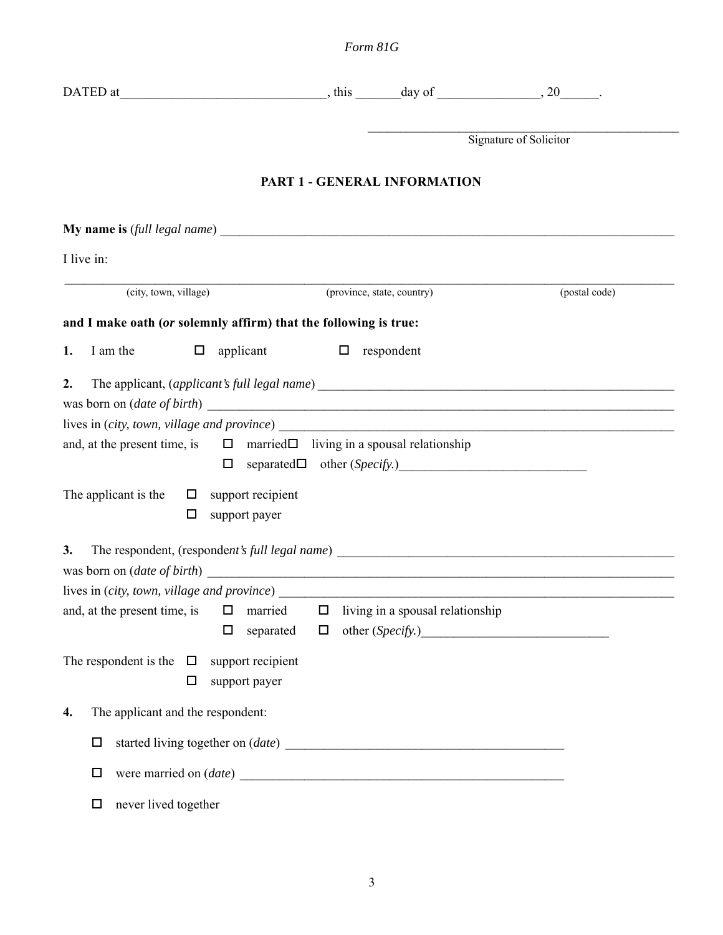|                                                                                                 |                                          |                                  | Signature of Solicitor |
|-------------------------------------------------------------------------------------------------|------------------------------------------|----------------------------------|------------------------|
|                                                                                                 | <b>PART 1 - GENERAL INFORMATION</b>      |                                  |                        |
|                                                                                                 |                                          |                                  |                        |
| I live in:                                                                                      |                                          |                                  |                        |
| (city, town, village)                                                                           |                                          | (province, state, country)       | (postal code)          |
| and I make oath (or solemnly affirm) that the following is true:                                |                                          |                                  |                        |
| I am the<br>applicant<br>1.<br>$\Box$                                                           |                                          | $\Box$ respondent                |                        |
| 2.<br>and, at the present time, is $\square$ married $\square$ living in a spousal relationship |                                          |                                  |                        |
| The applicant is the<br>$\Box$ support recipient<br>□<br>support payer                          |                                          |                                  |                        |
| 3.<br>and, at the present time, is<br>$\Box$<br>$\Box$                                          | married<br>$\Box$<br>separated<br>$\Box$ | living in a spousal relationship |                        |
| The respondent is the $\Box$<br>support recipient<br>$\Box$<br>support payer                    |                                          |                                  |                        |
| The applicant and the respondent:<br>4.<br>$\Box$<br>$\Box$<br>never lived together<br>$\Box$   |                                          |                                  |                        |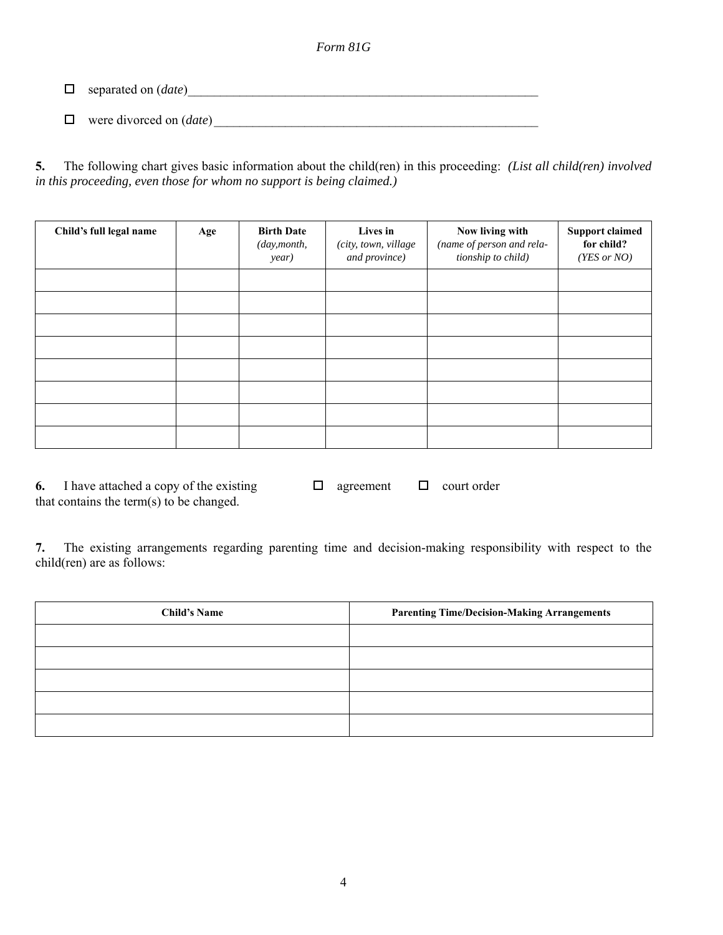separated on (*date*)\_\_\_\_\_\_\_\_\_\_\_\_\_\_\_\_\_\_\_\_\_\_\_\_\_\_\_\_\_\_\_\_\_\_\_\_\_\_\_\_\_\_\_\_\_\_\_\_\_\_\_\_\_\_

 $\Box$  were divorced on (*date*)

**5.** The following chart gives basic information about the child(ren) in this proceeding: *(List all child(ren) involved in this proceeding, even those for whom no support is being claimed.)*

| Child's full legal name | Age | <b>Birth Date</b><br>(day, month,<br>year) | Lives in<br>(city, town, village<br>and province) | Now living with<br>(name of person and rela-<br>tionship to child) | <b>Support claimed</b><br>for child?<br>(YES or NO) |
|-------------------------|-----|--------------------------------------------|---------------------------------------------------|--------------------------------------------------------------------|-----------------------------------------------------|
|                         |     |                                            |                                                   |                                                                    |                                                     |
|                         |     |                                            |                                                   |                                                                    |                                                     |
|                         |     |                                            |                                                   |                                                                    |                                                     |
|                         |     |                                            |                                                   |                                                                    |                                                     |
|                         |     |                                            |                                                   |                                                                    |                                                     |
|                         |     |                                            |                                                   |                                                                    |                                                     |
|                         |     |                                            |                                                   |                                                                    |                                                     |
|                         |     |                                            |                                                   |                                                                    |                                                     |

**6.** I have attached a copy of the existing  $\Box$  agreement  $\Box$  court order that contains the term $(s)$  to be changed.

**7.** The existing arrangements regarding parenting time and decision-making responsibility with respect to the child(ren) are as follows:

| <b>Child's Name</b> | <b>Parenting Time/Decision-Making Arrangements</b> |
|---------------------|----------------------------------------------------|
|                     |                                                    |
|                     |                                                    |
|                     |                                                    |
|                     |                                                    |
|                     |                                                    |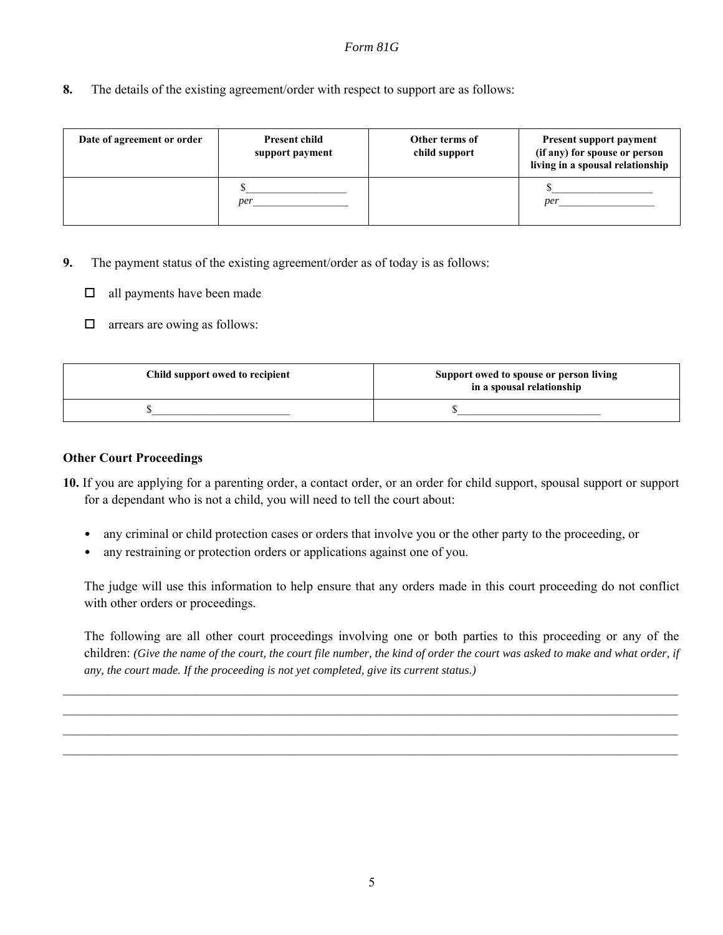**8.** The details of the existing agreement/order with respect to support are as follows:

| Date of agreement or order | <b>Present child</b><br>support payment | Other terms of<br>child support | <b>Present support payment</b><br>(if any) for spouse or person<br>living in a spousal relationship |
|----------------------------|-----------------------------------------|---------------------------------|-----------------------------------------------------------------------------------------------------|
|                            | per                                     |                                 | per                                                                                                 |

- **9.** The payment status of the existing agreement/order as of today is as follows:
	- $\Box$  all payments have been made
	- $\Box$  arrears are owing as follows:

| Child support owed to recipient | Support owed to spouse or person living<br>in a spousal relationship |
|---------------------------------|----------------------------------------------------------------------|
|                                 |                                                                      |

## **Other Court Proceedings**

- **10.** If you are applying for a parenting order, a contact order, or an order for child support, spousal support or support for a dependant who is not a child, you will need to tell the court about:
	- any criminal or child protection cases or orders that involve you or the other party to the proceeding, or
	- any restraining or protection orders or applications against one of you.

The judge will use this information to help ensure that any orders made in this court proceeding do not conflict with other orders or proceedings.

The following are all other court proceedings involving one or both parties to this proceeding or any of the children: *(Give the name of the court, the court file number, the kind of order the court was asked to make and what order, if any, the court made. If the proceeding is not yet completed, give its current status.)*

 $\mathcal{L}_\mathcal{L} = \mathcal{L}_\mathcal{L} = \mathcal{L}_\mathcal{L} = \mathcal{L}_\mathcal{L} = \mathcal{L}_\mathcal{L} = \mathcal{L}_\mathcal{L} = \mathcal{L}_\mathcal{L} = \mathcal{L}_\mathcal{L} = \mathcal{L}_\mathcal{L} = \mathcal{L}_\mathcal{L} = \mathcal{L}_\mathcal{L} = \mathcal{L}_\mathcal{L} = \mathcal{L}_\mathcal{L} = \mathcal{L}_\mathcal{L} = \mathcal{L}_\mathcal{L} = \mathcal{L}_\mathcal{L} = \mathcal{L}_\mathcal{L}$  $\mathcal{L}_\mathcal{L} = \mathcal{L}_\mathcal{L} = \mathcal{L}_\mathcal{L} = \mathcal{L}_\mathcal{L} = \mathcal{L}_\mathcal{L} = \mathcal{L}_\mathcal{L} = \mathcal{L}_\mathcal{L} = \mathcal{L}_\mathcal{L} = \mathcal{L}_\mathcal{L} = \mathcal{L}_\mathcal{L} = \mathcal{L}_\mathcal{L} = \mathcal{L}_\mathcal{L} = \mathcal{L}_\mathcal{L} = \mathcal{L}_\mathcal{L} = \mathcal{L}_\mathcal{L} = \mathcal{L}_\mathcal{L} = \mathcal{L}_\mathcal{L}$  $\mathcal{L}_\mathcal{L} = \mathcal{L}_\mathcal{L} = \mathcal{L}_\mathcal{L} = \mathcal{L}_\mathcal{L} = \mathcal{L}_\mathcal{L} = \mathcal{L}_\mathcal{L} = \mathcal{L}_\mathcal{L} = \mathcal{L}_\mathcal{L} = \mathcal{L}_\mathcal{L} = \mathcal{L}_\mathcal{L} = \mathcal{L}_\mathcal{L} = \mathcal{L}_\mathcal{L} = \mathcal{L}_\mathcal{L} = \mathcal{L}_\mathcal{L} = \mathcal{L}_\mathcal{L} = \mathcal{L}_\mathcal{L} = \mathcal{L}_\mathcal{L}$  $\mathcal{L}_\mathcal{L} = \mathcal{L}_\mathcal{L} = \mathcal{L}_\mathcal{L} = \mathcal{L}_\mathcal{L} = \mathcal{L}_\mathcal{L} = \mathcal{L}_\mathcal{L} = \mathcal{L}_\mathcal{L} = \mathcal{L}_\mathcal{L} = \mathcal{L}_\mathcal{L} = \mathcal{L}_\mathcal{L} = \mathcal{L}_\mathcal{L} = \mathcal{L}_\mathcal{L} = \mathcal{L}_\mathcal{L} = \mathcal{L}_\mathcal{L} = \mathcal{L}_\mathcal{L} = \mathcal{L}_\mathcal{L} = \mathcal{L}_\mathcal{L}$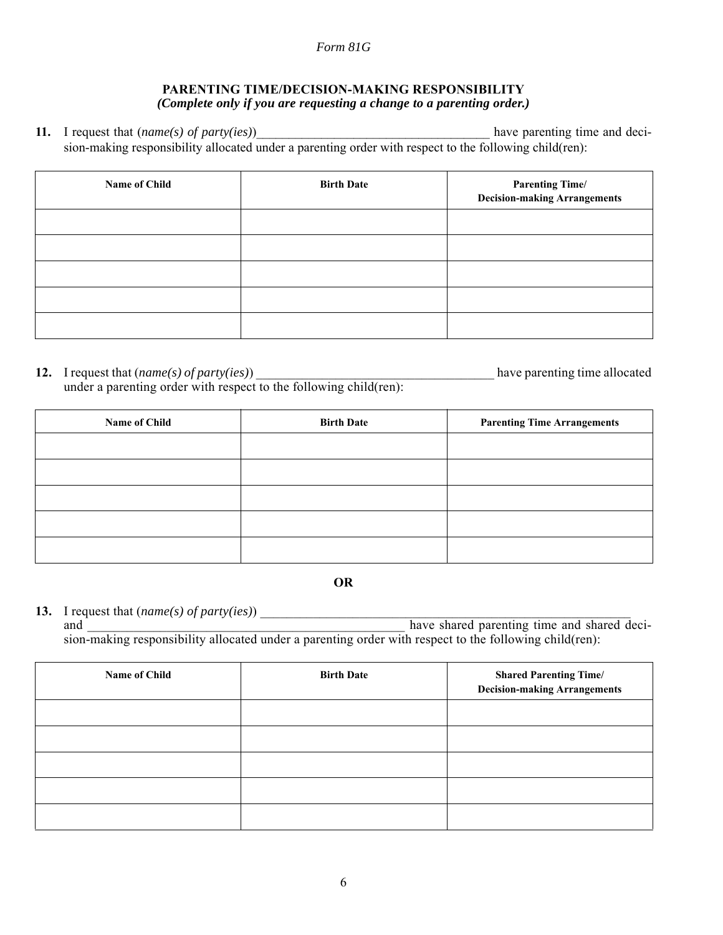## **PARENTING TIME/DECISION-MAKING RESPONSIBILITY** *(Complete only if you are requesting a change to a parenting order.)*

**11.** I request that (*name(s) of party(ies)*) have parenting time and decision-making responsibility allocated under a parenting order with respect to the following child(ren):

| Name of Child | <b>Birth Date</b> | <b>Parenting Time/</b><br><b>Decision-making Arrangements</b> |
|---------------|-------------------|---------------------------------------------------------------|
|               |                   |                                                               |
|               |                   |                                                               |
|               |                   |                                                               |
|               |                   |                                                               |
|               |                   |                                                               |

**12.** I request that (*name(s) of party(ies)*) \_\_\_\_\_\_\_\_\_\_\_\_\_\_\_\_\_\_\_\_\_\_\_\_\_\_\_\_\_\_\_\_\_\_\_\_ have parenting time allocated under a parenting order with respect to the following child(ren):

| Name of Child | <b>Birth Date</b> | <b>Parenting Time Arrangements</b> |
|---------------|-------------------|------------------------------------|
|               |                   |                                    |
|               |                   |                                    |
|               |                   |                                    |
|               |                   |                                    |
|               |                   |                                    |

**OR**

**13.** I request that (*name(s) of party(ies)*) \_\_\_\_\_\_\_\_\_\_\_\_\_\_\_\_\_\_\_\_\_\_\_\_\_\_\_\_\_\_\_\_\_\_\_\_\_\_\_\_\_\_\_\_\_\_\_\_\_\_\_\_\_\_\_\_

and  $\overline{\phantom{a}}$  have shared parenting time and shared decision-making responsibility allocated under a parenting order with respect to the following child(ren):

| Name of Child | <b>Birth Date</b> | <b>Shared Parenting Time/</b><br><b>Decision-making Arrangements</b> |
|---------------|-------------------|----------------------------------------------------------------------|
|               |                   |                                                                      |
|               |                   |                                                                      |
|               |                   |                                                                      |
|               |                   |                                                                      |
|               |                   |                                                                      |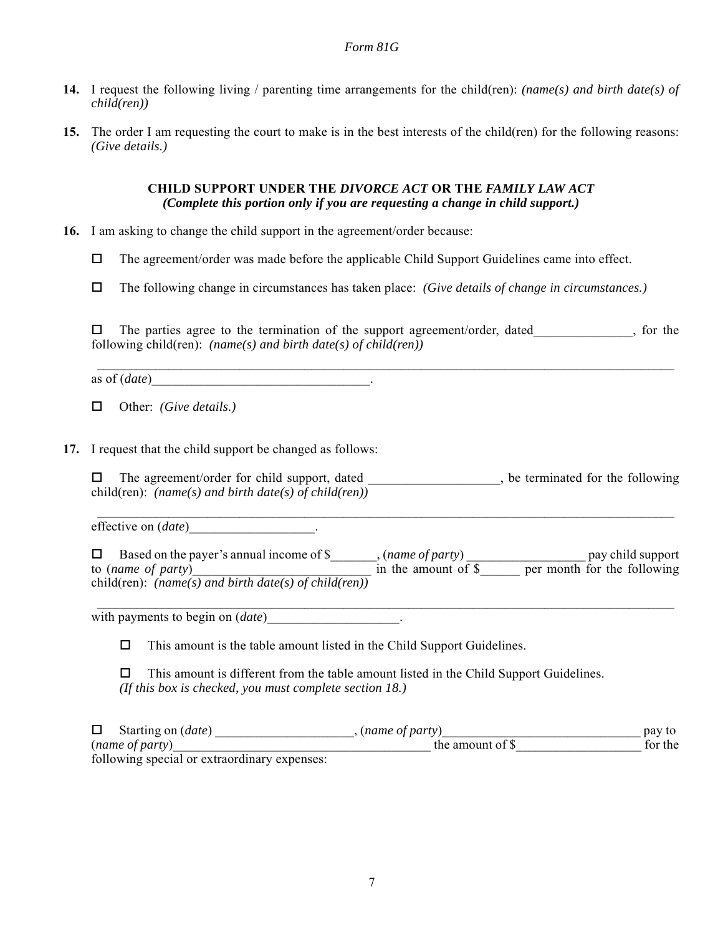- **14.** I request the following living / parenting time arrangements for the child(ren): *(name(s) and birth date(s) of child(ren))*
- **15.** The order I am requesting the court to make is in the best interests of the child(ren) for the following reasons: *(Give details.)*

### **CHILD SUPPORT UNDER THE** *DIVORCE ACT* **OR THE** *FAMILY LAW ACT (Complete this portion only if you are requesting a change in child support.)*

- **16.** I am asking to change the child support in the agreement/order because:
	- $\Box$  The agreement/order was made before the applicable Child Support Guidelines came into effect.
	- The following change in circumstances has taken place: *(Give details of change in circumstances.)*

 $\Box$  The parties agree to the termination of the support agreement/order, dated, so the following child(ren): *(name(s) and birth date(s) of child(ren))*

 $\mathcal{L}_\mathcal{L} = \mathcal{L}_\mathcal{L} = \mathcal{L}_\mathcal{L} = \mathcal{L}_\mathcal{L} = \mathcal{L}_\mathcal{L} = \mathcal{L}_\mathcal{L} = \mathcal{L}_\mathcal{L} = \mathcal{L}_\mathcal{L} = \mathcal{L}_\mathcal{L} = \mathcal{L}_\mathcal{L} = \mathcal{L}_\mathcal{L} = \mathcal{L}_\mathcal{L} = \mathcal{L}_\mathcal{L} = \mathcal{L}_\mathcal{L} = \mathcal{L}_\mathcal{L} = \mathcal{L}_\mathcal{L} = \mathcal{L}_\mathcal{L}$ 

as of (*date*) example.

Other: *(Give details.)*

**17.** I request that the child support be changed as follows:

 $\square$  The agreement/order for child support, dated , be terminated for the following child(ren): *(name(s) and birth date(s) of child(ren))*

 $\mathcal{L}_\mathcal{L} = \mathcal{L}_\mathcal{L} = \mathcal{L}_\mathcal{L} = \mathcal{L}_\mathcal{L} = \mathcal{L}_\mathcal{L} = \mathcal{L}_\mathcal{L} = \mathcal{L}_\mathcal{L} = \mathcal{L}_\mathcal{L} = \mathcal{L}_\mathcal{L} = \mathcal{L}_\mathcal{L} = \mathcal{L}_\mathcal{L} = \mathcal{L}_\mathcal{L} = \mathcal{L}_\mathcal{L} = \mathcal{L}_\mathcal{L} = \mathcal{L}_\mathcal{L} = \mathcal{L}_\mathcal{L} = \mathcal{L}_\mathcal{L}$ 

effective on (*date*) .

□ Based on the payer's annual income of \$ , (*name of party*) pay child support to (*name of party*) and in the amount of \$ are per month for the following to (name of party)<br>child(ren): (name(s) and birth date(s) of child(ren))

 $\mathcal{L}_\mathcal{L} = \mathcal{L}_\mathcal{L} = \mathcal{L}_\mathcal{L} = \mathcal{L}_\mathcal{L} = \mathcal{L}_\mathcal{L} = \mathcal{L}_\mathcal{L} = \mathcal{L}_\mathcal{L} = \mathcal{L}_\mathcal{L} = \mathcal{L}_\mathcal{L} = \mathcal{L}_\mathcal{L} = \mathcal{L}_\mathcal{L} = \mathcal{L}_\mathcal{L} = \mathcal{L}_\mathcal{L} = \mathcal{L}_\mathcal{L} = \mathcal{L}_\mathcal{L} = \mathcal{L}_\mathcal{L} = \mathcal{L}_\mathcal{L}$ 

with payments to begin on  $(date)$ \_\_\_\_\_\_\_\_\_\_\_\_\_\_\_\_\_\_\_.

 $\Box$  This amount is the table amount listed in the Child Support Guidelines.

 $\Box$  This amount is different from the table amount listed in the Child Support Guidelines. *(If this box is checked, you must complete section 18.)*

□ Starting on (*date*) the set of party and starting on (*date*) and starting on (*date*) and starting on the set of party and starting on the set of party pay to (*name of party*) for the amount of \$

following special or extraordinary expenses: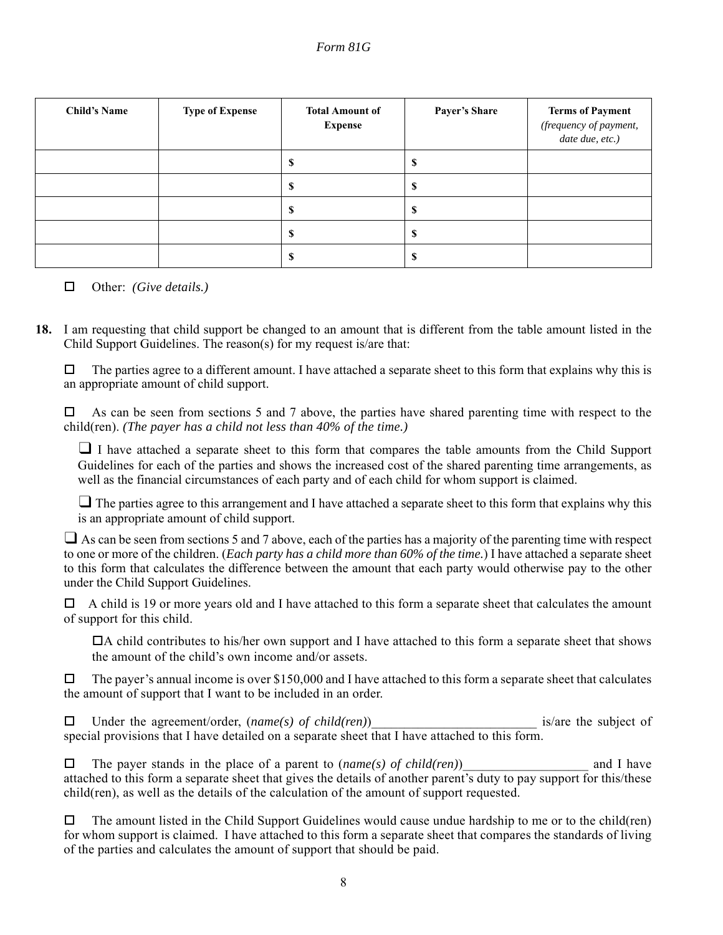| <b>Child's Name</b> | <b>Type of Expense</b> | <b>Total Amount of</b><br><b>Expense</b> | <b>Payer's Share</b> | <b>Terms of Payment</b><br>(frequency of payment,<br>date due, etc.) |
|---------------------|------------------------|------------------------------------------|----------------------|----------------------------------------------------------------------|
|                     |                        | ۰D                                       |                      |                                                                      |
|                     |                        | Φ                                        | Φ                    |                                                                      |
|                     |                        | D                                        | D                    |                                                                      |
|                     |                        | D                                        | D                    |                                                                      |
|                     |                        | п.                                       | D                    |                                                                      |

#### Other: *(Give details.)*

**18.** I am requesting that child support be changed to an amount that is different from the table amount listed in the Child Support Guidelines. The reason(s) for my request is/are that:

 $\Box$  The parties agree to a different amount. I have attached a separate sheet to this form that explains why this is an appropriate amount of child support.

 $\Box$  As can be seen from sections 5 and 7 above, the parties have shared parenting time with respect to the child(ren). *(The payer has a child not less than 40% of the time.)*

❑ I have attached a separate sheet to this form that compares the table amounts from the Child Support Guidelines for each of the parties and shows the increased cost of the shared parenting time arrangements, as well as the financial circumstances of each party and of each child for whom support is claimed.

 $\Box$  The parties agree to this arrangement and I have attached a separate sheet to this form that explains why this is an appropriate amount of child support.

 $\Box$  As can be seen from sections 5 and 7 above, each of the parties has a majority of the parenting time with respect to one or more of the children. (*Each party has a child more than 60% of the time.*) I have attached a separate sheet to this form that calculates the difference between the amount that each party would otherwise pay to the other under the Child Support Guidelines.

 $\Box$  A child is 19 or more years old and I have attached to this form a separate sheet that calculates the amount of support for this child.

A child contributes to his/her own support and I have attached to this form a separate sheet that shows the amount of the child's own income and/or assets.

 $\Box$  The payer's annual income is over \$150,000 and I have attached to this form a separate sheet that calculates the amount of support that I want to be included in an order.

□ Under the agreement/order, (*name(s)* of child(ren) is/are the subject of special provisions that I have detailed on a separate sheet that I have attached to this form.

 $\Box$  The payer stands in the place of a parent to (*name(s) of child(ren)*) and I have attached to this form a separate sheet that gives the details of another parent's duty to pay support for this/these child(ren), as well as the details of the calculation of the amount of support requested.

 $\Box$  The amount listed in the Child Support Guidelines would cause undue hardship to me or to the child(ren) for whom support is claimed. I have attached to this form a separate sheet that compares the standards of living of the parties and calculates the amount of support that should be paid.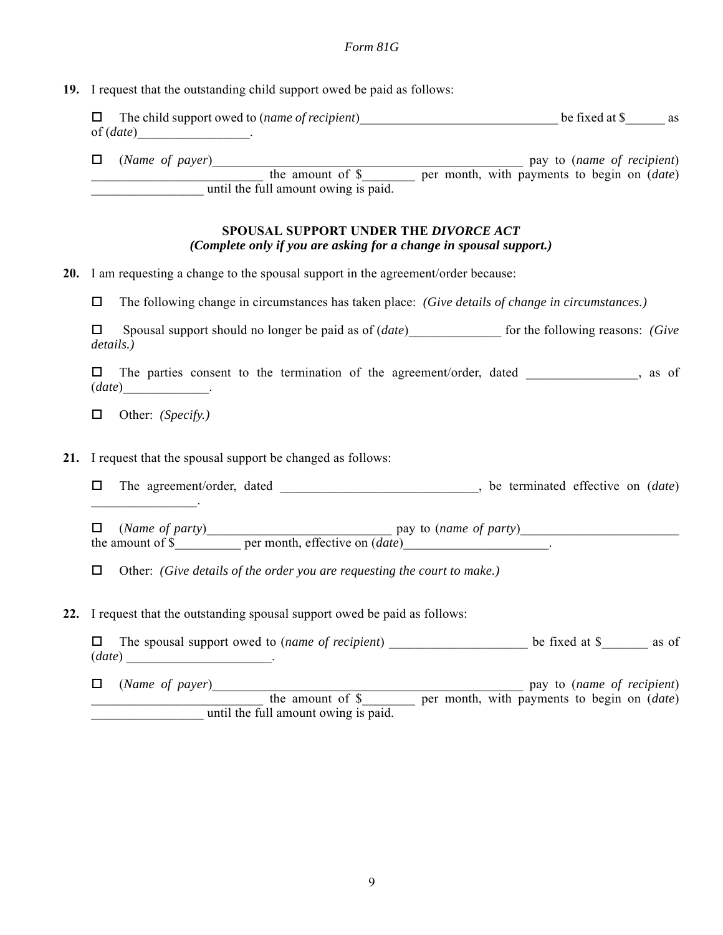### **19.** I request that the outstanding child support owed be paid as follows:

| $\Box$ The child support owed to ( <i>name of recipient</i> ) | be fixed at \$<br>as |
|---------------------------------------------------------------|----------------------|
| of ( <i>date</i> )                                            |                      |

 (*Name of payer*)\_\_\_\_\_\_\_\_\_\_\_\_\_\_\_\_\_\_\_\_\_\_\_\_\_\_\_\_\_\_\_\_\_\_\_\_\_\_\_\_\_\_\_\_\_\_\_ pay to (*name of recipient*) \_\_\_\_\_\_\_\_\_\_\_\_\_\_\_\_\_\_\_\_\_\_\_\_\_\_ the amount of \$\_\_\_\_\_\_\_\_ per month, with payments to begin on (*date*) until the full amount owing is paid.

#### **SPOUSAL SUPPORT UNDER THE** *DIVORCE ACT (Complete only if you are asking for a change in spousal support.)*

**20.** I am requesting a change to the spousal support in the agreement/order because:

The following change in circumstances has taken place: *(Give details of change in circumstances.)*

□ Spousal support should no longer be paid as of (*date*) for the following reasons: *(Give details.)*

 $\square$  The parties consent to the termination of the agreement/order, dated \_\_\_\_\_\_\_\_\_\_\_, as of (*date*)\_\_\_\_\_\_\_\_\_\_\_\_\_.

Other: *(Specify.)*

**21.** I request that the spousal support be changed as follows:

 The agreement/order, dated \_\_\_\_\_\_\_\_\_\_\_\_\_\_\_\_\_\_\_\_\_\_\_\_\_\_\_\_\_\_, be terminated effective on (*date*)  $\mathcal{L}$ 

 $\Box$  (*Name of party*) pay to (*name of party*) the amount of \$ per month, effective on (*date*)

Other: *(Give details of the order you are requesting the court to make.)*

**22.** I request that the outstanding spousal support owed be paid as follows:

 The spousal support owed to (*name of recipient*) \_\_\_\_\_\_\_\_\_\_\_\_\_\_\_\_\_\_\_\_\_ be fixed at \$\_\_\_\_\_\_\_ as of  $(date)$ 

 (*Name of payer*)\_\_\_\_\_\_\_\_\_\_\_\_\_\_\_\_\_\_\_\_\_\_\_\_\_\_\_\_\_\_\_\_\_\_\_\_\_\_\_\_\_\_\_\_\_\_\_ pay to (*name of recipient*) the amount of \$ per month, with payments to begin on (*date*) until the full amount owing is paid.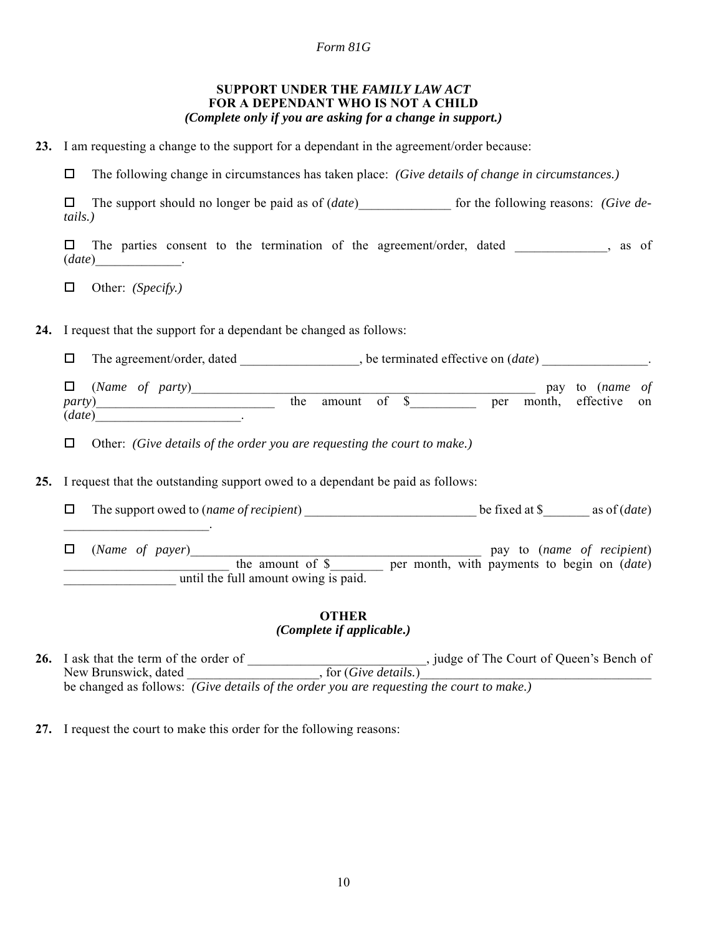| SUPPORT UNDER THE FAMILY LAW ACT                           |
|------------------------------------------------------------|
| <b>FOR A DEPENDANT WHO IS NOT A CHILD</b>                  |
| (Complete only if you are asking for a change in support.) |

**23.** I am requesting a change to the support for a dependant in the agreement/order because:

The following change in circumstances has taken place: *(Give details of change in circumstances.)*

□ The support should no longer be paid as of (*date*) for the following reasons: *(Give details.)*

 $\square$  The parties consent to the termination of the agreement/order, dated \_\_\_\_\_\_\_\_\_\_\_, as of (*date*)\_\_\_\_\_\_\_\_\_\_\_\_\_.

Other: *(Specify.)*

 $\mathcal{L}_\text{max}$  and  $\mathcal{L}_\text{max}$  and  $\mathcal{L}_\text{max}$ 

**24.** I request that the support for a dependant be changed as follows:

The agreement/order, dated \_\_\_\_\_\_\_\_\_\_\_\_\_\_\_\_\_\_, be terminated effective on (*date*) \_\_\_\_\_\_\_\_\_\_\_\_\_\_\_\_.

 (*Name of party*)\_\_\_\_\_\_\_\_\_\_\_\_\_\_\_\_\_\_\_\_\_\_\_\_\_\_\_\_\_\_\_\_\_\_\_\_\_\_\_\_\_\_\_\_\_\_\_\_\_\_\_\_ pay to (*name of party*)\_\_\_\_\_\_\_\_\_\_\_\_\_\_\_\_\_\_\_\_\_\_\_\_\_\_\_ the amount of \$\_\_\_\_\_\_\_\_\_\_ per month, effective on (*date*)\_\_\_\_\_\_\_\_\_\_\_\_\_\_\_\_\_\_\_\_\_\_.

Other: *(Give details of the order you are requesting the court to make.)*

**25.** I request that the outstanding support owed to a dependant be paid as follows:

The support owed to (*name of recipient*) \_\_\_\_\_\_\_\_\_\_\_\_\_\_\_\_\_\_\_\_\_\_\_\_\_\_ be fixed at \$\_\_\_\_\_\_\_ as of (*date*)

 (*Name of payer*)\_\_\_\_\_\_\_\_\_\_\_\_\_\_\_\_\_\_\_\_\_\_\_\_\_\_\_\_\_\_\_\_\_\_\_\_\_\_\_\_\_\_\_\_ pay to (*name of recipient*) \_\_\_\_\_\_\_\_\_\_\_\_\_\_\_\_\_\_\_\_\_\_\_\_\_ the amount of \$\_\_\_\_\_\_\_\_ per month, with payments to begin on (*date*) until the full amount owing is paid.

#### **OTHER** *(Complete if applicable.)*

26. I ask that the term of the order of **the computer of the Court of Queen's Bench of**  $\alpha$ , judge of The Court of Queen's Bench of New Brunswick, dated  $\qquad \qquad$ , for (*Give details*.) be changed as follows: *(Give details of the order you are requesting the court to make.)*

**27.** I request the court to make this order for the following reasons: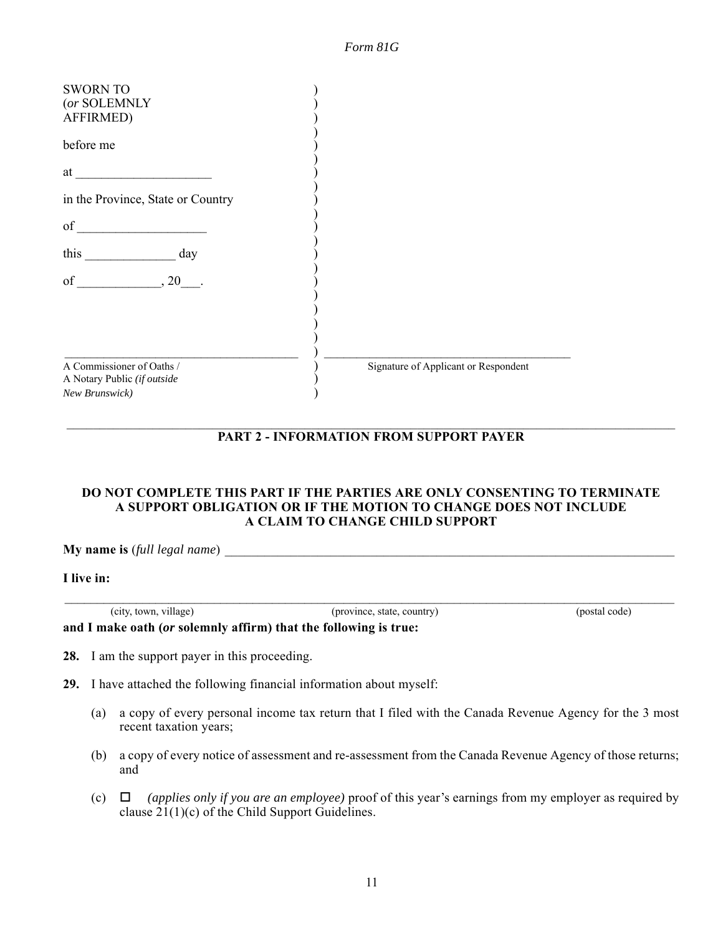| Form 81G |  |
|----------|--|
|          |  |

| <b>SWORN TO</b><br>(or SOLEMNLY<br>AFFIRMED)<br>before me                  |                                      |
|----------------------------------------------------------------------------|--------------------------------------|
| at                                                                         |                                      |
| in the Province, State or Country                                          |                                      |
| $\sigma$ f                                                                 |                                      |
| this day                                                                   |                                      |
| of $, 20$ .                                                                |                                      |
| A Commissioner of Oaths /<br>A Notary Public (if outside<br>New Brunswick) | Signature of Applicant or Respondent |

#### $\mathcal{L}_\mathcal{L} = \mathcal{L}_\mathcal{L} = \mathcal{L}_\mathcal{L} = \mathcal{L}_\mathcal{L} = \mathcal{L}_\mathcal{L} = \mathcal{L}_\mathcal{L} = \mathcal{L}_\mathcal{L} = \mathcal{L}_\mathcal{L} = \mathcal{L}_\mathcal{L} = \mathcal{L}_\mathcal{L} = \mathcal{L}_\mathcal{L} = \mathcal{L}_\mathcal{L} = \mathcal{L}_\mathcal{L} = \mathcal{L}_\mathcal{L} = \mathcal{L}_\mathcal{L} = \mathcal{L}_\mathcal{L} = \mathcal{L}_\mathcal{L}$ **PART 2 - INFORMATION FROM SUPPORT PAYER**

#### **DO NOT COMPLETE THIS PART IF THE PARTIES ARE ONLY CONSENTING TO TERMINATE A SUPPORT OBLIGATION OR IF THE MOTION TO CHANGE DOES NOT INCLUDE A CLAIM TO CHANGE CHILD SUPPORT**

 $\mathcal{L}_\mathcal{L} = \{ \mathcal{L}_\mathcal{L} = \{ \mathcal{L}_\mathcal{L} = \{ \mathcal{L}_\mathcal{L} = \{ \mathcal{L}_\mathcal{L} = \{ \mathcal{L}_\mathcal{L} = \{ \mathcal{L}_\mathcal{L} = \{ \mathcal{L}_\mathcal{L} = \{ \mathcal{L}_\mathcal{L} = \{ \mathcal{L}_\mathcal{L} = \{ \mathcal{L}_\mathcal{L} = \{ \mathcal{L}_\mathcal{L} = \{ \mathcal{L}_\mathcal{L} = \{ \mathcal{L}_\mathcal{L} = \{ \mathcal{L}_\mathcal{$ 

**My name is** (*full legal name*) \_\_\_\_\_\_\_\_\_\_\_\_\_\_\_\_\_\_\_\_\_\_\_\_\_\_\_\_\_\_\_\_\_\_\_\_\_\_\_\_\_\_\_\_\_\_\_\_\_\_\_\_\_\_\_\_\_\_\_\_\_\_\_\_\_\_\_\_

**I live in:**

(city, town, village) (province, state, country) (postal code) **and I make oath (***or* **solemnly affirm) that the following is true:**

- **28.** I am the support payer in this proceeding.
- **29.** I have attached the following financial information about myself:
	- (a) a copy of every personal income tax return that I filed with the Canada Revenue Agency for the 3 most recent taxation years;
	- (b) a copy of every notice of assessment and re-assessment from the Canada Revenue Agency of those returns; and
	- (c)  $\Box$  (applies only if you are an employee) proof of this year's earnings from my employer as required by clause  $21(1)(c)$  of the Child Support Guidelines.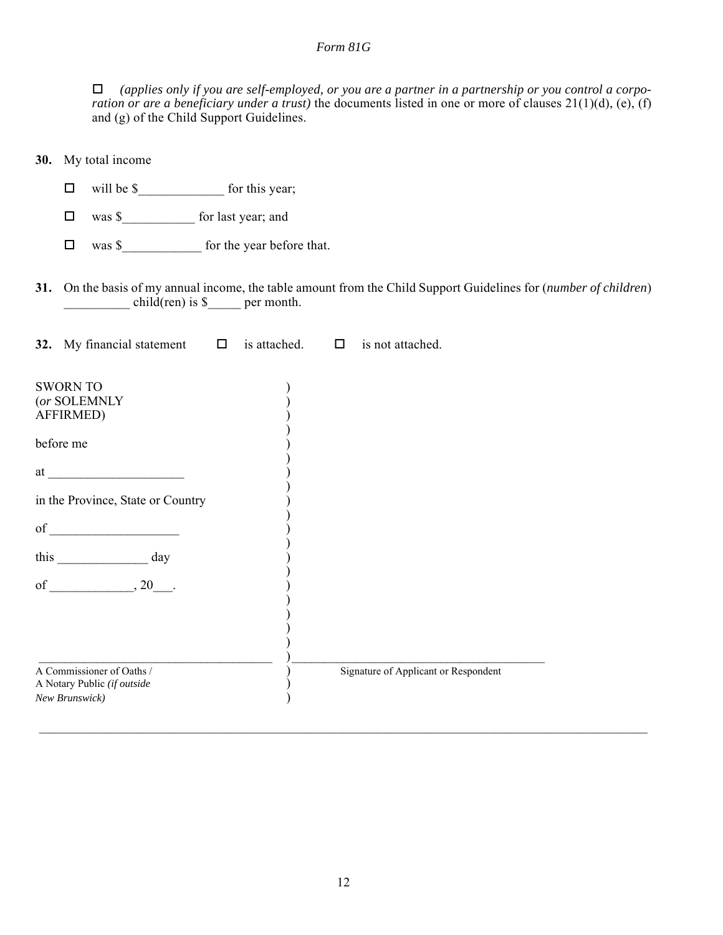*(applies only if you are self-employed, or you are a partner in a partnership or you control a corporation or are a beneficiary under a trust)* the documents listed in one or more of clauses 21(1)(d), (e), (f) and (g) of the Child Support Guidelines.

| 30. My total income                                                                                                                                                                                                                                                                                                                                                  |  |                                                                                                                   |  |
|----------------------------------------------------------------------------------------------------------------------------------------------------------------------------------------------------------------------------------------------------------------------------------------------------------------------------------------------------------------------|--|-------------------------------------------------------------------------------------------------------------------|--|
| $\Box$                                                                                                                                                                                                                                                                                                                                                               |  |                                                                                                                   |  |
| was \$_______________ for last year; and<br>$\Box$                                                                                                                                                                                                                                                                                                                   |  |                                                                                                                   |  |
| was \$ for the year before that.<br>$\Box$                                                                                                                                                                                                                                                                                                                           |  |                                                                                                                   |  |
| $child(ren)$ is $\$\$ per month.                                                                                                                                                                                                                                                                                                                                     |  | 31. On the basis of my annual income, the table amount from the Child Support Guidelines for (number of children) |  |
| 32. My financial statement $\Box$ is attached. $\Box$                                                                                                                                                                                                                                                                                                                |  | is not attached.                                                                                                  |  |
| <b>SWORN TO</b><br>(or SOLEMNLY<br><b>AFFIRMED)</b><br>before me<br>at the contract of the contract of the contract of the contract of the contract of the contract of the contract of the contract of the contract of the contract of the contract of the contract of the contract of the contrac<br>in the Province, State or Country<br>this $\frac{1}{\sqrt{2}}$ |  |                                                                                                                   |  |
| A Commissioner of Oaths /<br>A Notary Public (if outside<br>New Brunswick)                                                                                                                                                                                                                                                                                           |  | Signature of Applicant or Respondent                                                                              |  |

 $\mathcal{L}_\mathcal{L} = \mathcal{L}_\mathcal{L} = \mathcal{L}_\mathcal{L} = \mathcal{L}_\mathcal{L} = \mathcal{L}_\mathcal{L} = \mathcal{L}_\mathcal{L} = \mathcal{L}_\mathcal{L} = \mathcal{L}_\mathcal{L} = \mathcal{L}_\mathcal{L} = \mathcal{L}_\mathcal{L} = \mathcal{L}_\mathcal{L} = \mathcal{L}_\mathcal{L} = \mathcal{L}_\mathcal{L} = \mathcal{L}_\mathcal{L} = \mathcal{L}_\mathcal{L} = \mathcal{L}_\mathcal{L} = \mathcal{L}_\mathcal{L}$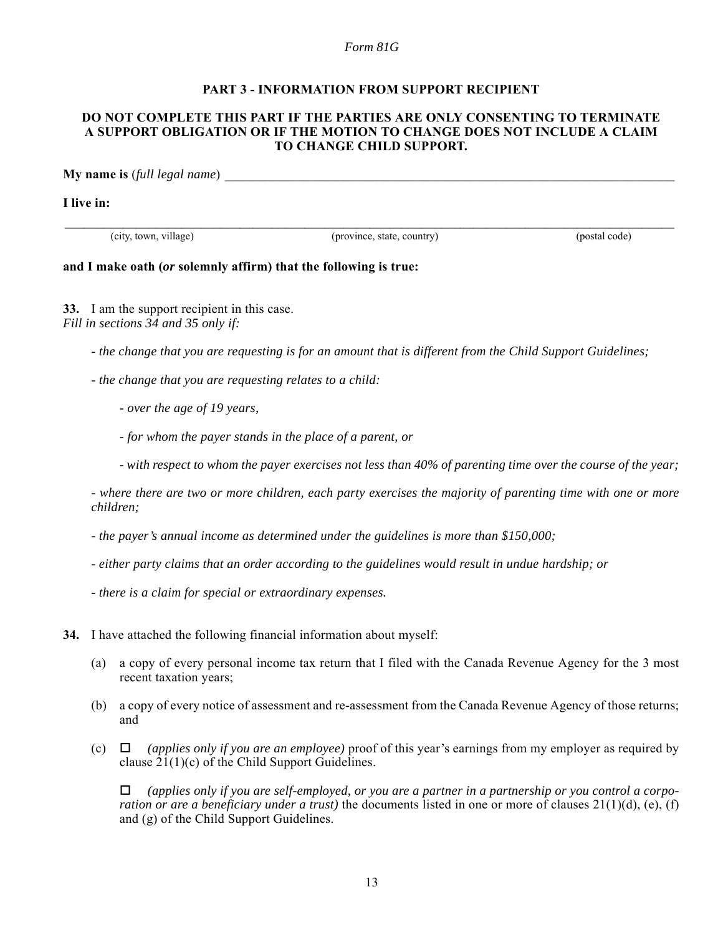#### **PART 3 - INFORMATION FROM SUPPORT RECIPIENT**

#### **DO NOT COMPLETE THIS PART IF THE PARTIES ARE ONLY CONSENTING TO TERMINATE A SUPPORT OBLIGATION OR IF THE MOTION TO CHANGE DOES NOT INCLUDE A CLAIM TO CHANGE CHILD SUPPORT.**

**My name is** (*full legal name*)

**I live in:**

(city, town, village) (province, state, country) (postal code)

 $\mathcal{L}_\mathcal{L} = \{ \mathcal{L}_\mathcal{L} = \{ \mathcal{L}_\mathcal{L} = \{ \mathcal{L}_\mathcal{L} = \{ \mathcal{L}_\mathcal{L} = \{ \mathcal{L}_\mathcal{L} = \{ \mathcal{L}_\mathcal{L} = \{ \mathcal{L}_\mathcal{L} = \{ \mathcal{L}_\mathcal{L} = \{ \mathcal{L}_\mathcal{L} = \{ \mathcal{L}_\mathcal{L} = \{ \mathcal{L}_\mathcal{L} = \{ \mathcal{L}_\mathcal{L} = \{ \mathcal{L}_\mathcal{L} = \{ \mathcal{L}_\mathcal{$ 

#### **and I make oath (***or* **solemnly affirm) that the following is true:**

**33.** I am the support recipient in this case. *Fill in sections 34 and 35 only if:*

- *the change that you are requesting is for an amount that is different from the Child Support Guidelines;*

- *the change that you are requesting relates to a child:*
	- *over the age of 19 years,*
	- *for whom the payer stands in the place of a parent, or*
	- *with respect to whom the payer exercises not less than 40% of parenting time over the course of the year;*

*- where there are two or more children, each party exercises the majority of parenting time with one or more children;*

- *the payer's annual income as determined under the guidelines is more than \$150,000;*
- *either party claims that an order according to the guidelines would result in undue hardship; or*
- *there is a claim for special or extraordinary expenses.*
- **34.** I have attached the following financial information about myself:
	- (a) a copy of every personal income tax return that I filed with the Canada Revenue Agency for the 3 most recent taxation years;
	- (b) a copy of every notice of assessment and re-assessment from the Canada Revenue Agency of those returns; and
	- (c)  $\Box$  *(applies only if you are an employee)* proof of this year's earnings from my employer as required by clause 21(1)(c) of the Child Support Guidelines.

 *(applies only if you are self-employed, or you are a partner in a partnership or you control a corporation or are a beneficiary under a trust*) the documents listed in one or more of clauses  $21(1)(d)$ , (e), (f) and (g) of the Child Support Guidelines.